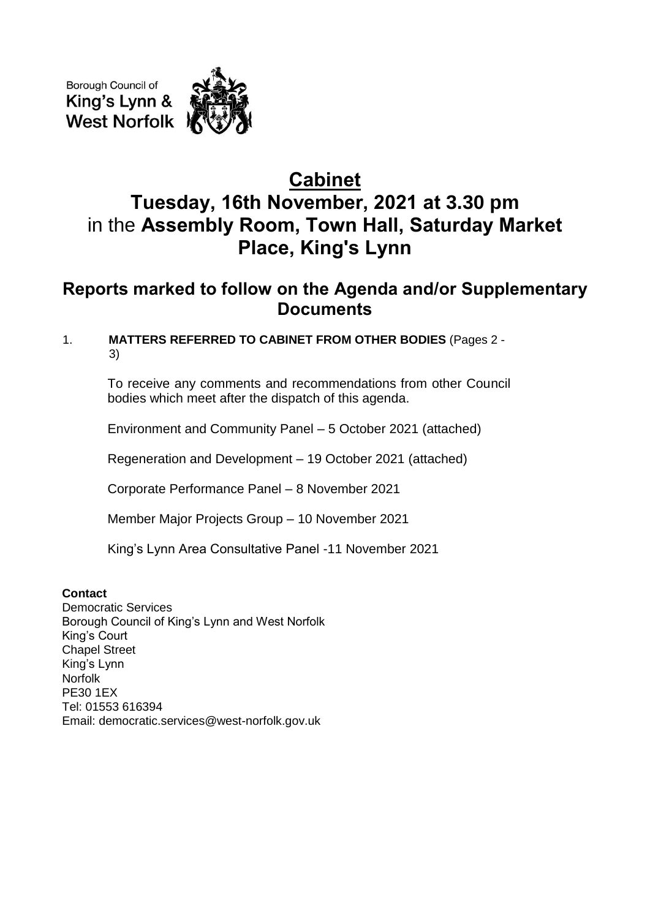Borough Council of King's Lynn & **West Norfolk** 

# **Cabinet Tuesday, 16th November, 2021 at 3.30 pm** in the **Assembly Room, Town Hall, Saturday Market Place, King's Lynn**

# **Reports marked to follow on the Agenda and/or Supplementary Documents**

# 1. **MATTERS REFERRED TO CABINET FROM OTHER BODIES** (Pages 2 - 3)

To receive any comments and recommendations from other Council bodies which meet after the dispatch of this agenda.

Environment and Community Panel – 5 October 2021 (attached)

Regeneration and Development – 19 October 2021 (attached)

Corporate Performance Panel – 8 November 2021

Member Major Projects Group – 10 November 2021

King's Lynn Area Consultative Panel -11 November 2021

# **Contact**

Democratic Services Borough Council of King's Lynn and West Norfolk King's Court Chapel Street King's Lynn Norfolk PE30 1EX Tel: 01553 616394 Email: democratic.services@west-norfolk.gov.uk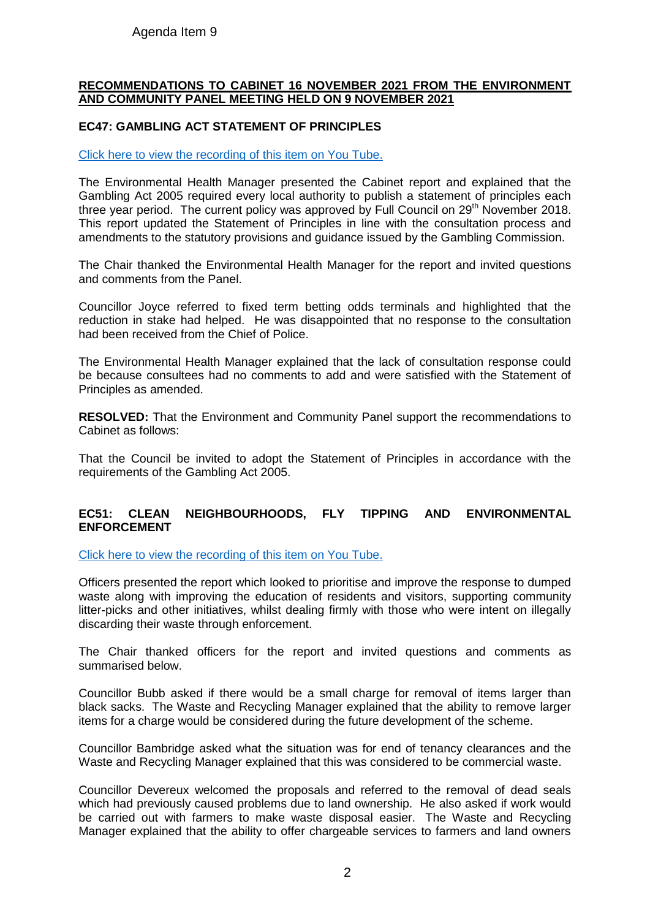# Agenda Item 9

#### **RECOMMENDATIONS TO CABINET 16 NOVEMBER 2021 FROM THE ENVIRONMENT AND COMMUNITY PANEL MEETING HELD ON 9 NOVEMBER 2021**

### **EC47: GAMBLING ACT STATEMENT OF PRINCIPLES**

#### [Click here to view the recording of this item on You Tube.](https://youtu.be/0C2Rb3VgbeU?t=304)

The Environmental Health Manager presented the Cabinet report and explained that the Gambling Act 2005 required every local authority to publish a statement of principles each three year period. The current policy was approved by Full Council on 29<sup>th</sup> November 2018. This report updated the Statement of Principles in line with the consultation process and amendments to the statutory provisions and guidance issued by the Gambling Commission.

The Chair thanked the Environmental Health Manager for the report and invited questions and comments from the Panel.

Councillor Joyce referred to fixed term betting odds terminals and highlighted that the reduction in stake had helped. He was disappointed that no response to the consultation had been received from the Chief of Police.

The Environmental Health Manager explained that the lack of consultation response could be because consultees had no comments to add and were satisfied with the Statement of Principles as amended.

**RESOLVED:** That the Environment and Community Panel support the recommendations to Cabinet as follows:

That the Council be invited to adopt the Statement of Principles in accordance with the requirements of the Gambling Act 2005.

### **EC51: CLEAN NEIGHBOURHOODS, FLY TIPPING AND ENVIRONMENTAL ENFORCEMENT**

[Click here to view the recording of this item on You Tube.](https://youtu.be/0C2Rb3VgbeU?t=5884)

Officers presented the report which looked to prioritise and improve the response to dumped waste along with improving the education of residents and visitors, supporting community litter-picks and other initiatives, whilst dealing firmly with those who were intent on illegally discarding their waste through enforcement.

The Chair thanked officers for the report and invited questions and comments as summarised below.

Councillor Bubb asked if there would be a small charge for removal of items larger than black sacks. The Waste and Recycling Manager explained that the ability to remove larger items for a charge would be considered during the future development of the scheme.

Councillor Bambridge asked what the situation was for end of tenancy clearances and the Waste and Recycling Manager explained that this was considered to be commercial waste.

Councillor Devereux welcomed the proposals and referred to the removal of dead seals which had previously caused problems due to land ownership. He also asked if work would be carried out with farmers to make waste disposal easier. The Waste and Recycling Manager explained that the ability to offer chargeable services to farmers and land owners